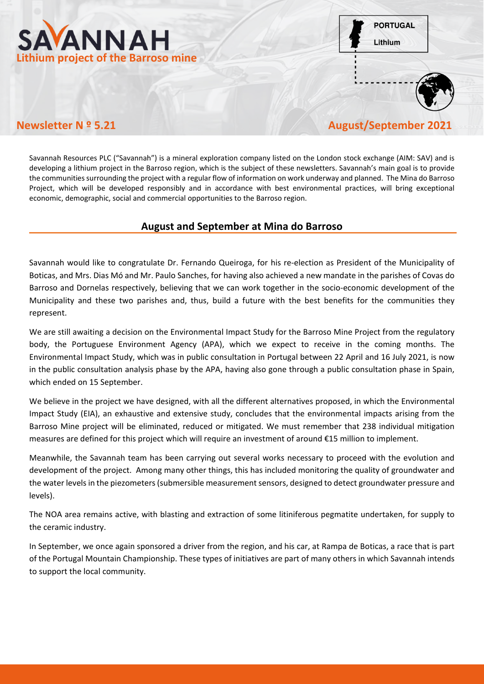

**PORTUGAL** Lithium



## **Newsletter N º 5.21 August/September 2021**

Savannah Resources PLC ("Savannah") is a mineral exploration company listed on the London stock exchange (AIM: SAV) and is developing a lithium project in the Barroso region, which is the subject of these newsletters. Savannah's main goal is to provide the communities surrounding the project with a regular flow of information on work underway and planned. The Mina do Barroso Project, which will be developed responsibly and in accordance with best environmental practices, will bring exceptional economic, demographic, social and commercial opportunities to the Barroso region.

## **August and September at Mina do Barroso**

Savannah would like to congratulate Dr. Fernando Queiroga, for his re-election as President of the Municipality of Boticas, and Mrs. Dias Mó and Mr. Paulo Sanches, for having also achieved a new mandate in the parishes of Covas do Barroso and Dornelas respectively, believing that we can work together in the socio-economic development of the Municipality and these two parishes and, thus, build a future with the best benefits for the communities they represent.

We are still awaiting a decision on the Environmental Impact Study for the Barroso Mine Project from the regulatory body, the Portuguese Environment Agency (APA), which we expect to receive in the coming months. The Environmental Impact Study, which was in public consultation in Portugal between 22 April and 16 July 2021, is now in the public consultation analysis phase by the APA, having also gone through a public consultation phase in Spain, which ended on 15 September.

We believe in the project we have designed, with all the different alternatives proposed, in which the Environmental Impact Study (EIA), an exhaustive and extensive study, concludes that the environmental impacts arising from the Barroso Mine project will be eliminated, reduced or mitigated. We must remember that 238 individual mitigation measures are defined for this project which will require an investment of around €15 million to implement.

Meanwhile, the Savannah team has been carrying out several works necessary to proceed with the evolution and development of the project. Among many other things, this has included monitoring the quality of groundwater and the water levels in the piezometers (submersible measurement sensors, designed to detect groundwater pressure and levels).

The NOA area remains active, with blasting and extraction of some litiniferous pegmatite undertaken, for supply to the ceramic industry.

In September, we once again sponsored a driver from the region, and his car, at Rampa de Boticas, a race that is part of the Portugal Mountain Championship. These types of initiatives are part of many others in which Savannah intends to support the local community.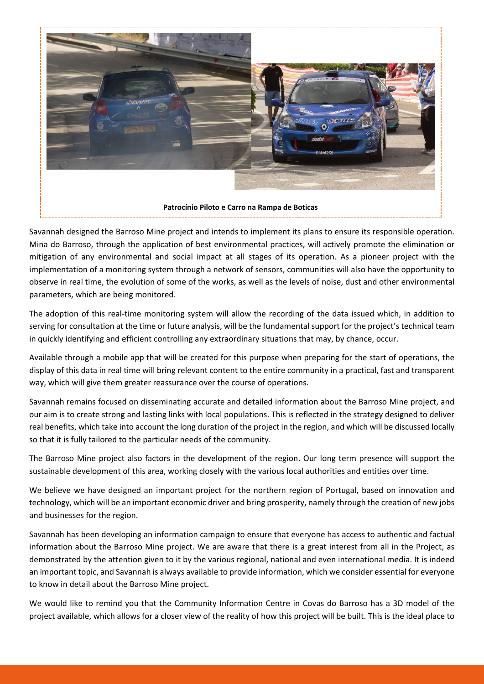

Savannah designed the Barroso Mine project and intends to implement its plans to ensure its responsible operation. Mina do Barroso, through the application of best environmental practices, will actively promote the elimination or mitigation of any environmental and social impact at all stages of its operation. As a pioneer project with the implementation of a monitoring system through a network of sensors, communities will also have the opportunity to observe in real time, the evolution of some of the works, as well as the levels of noise, dust and other environmental parameters, which are being monitored.

The adoption of this real-time monitoring system will allow the recording of the data issued which, in addition to serving for consultation at the time or future analysis, will be the fundamental support for the project's technical team in quickly identifying and efficient controlling any extraordinary situations that may, by chance, occur.

Available through a mobile app that will be created for this purpose when preparing for the start of operations, the display of this data in real time will bring relevant content to the entire community in a practical, fast and transparent way, which will give them greater reassurance over the course of operations.

Savannah remains focused on disseminating accurate and detailed information about the Barroso Mine project, and our aim is to create strong and lasting links with local populations. This is reflected in the strategy designed to deliver real benefits, which take into account the long duration of the project in the region, and which will be discussed locally so that it is fully tailored to the particular needs of the community.

The Barroso Mine project also factors in the development of the region. Our long term presence will support the sustainable development of this area, working closely with the various local authorities and entities over time.

We believe we have designed an important project for the northern region of Portugal, based on innovation and technology, which will be an important economic driver and bring prosperity, namely through the creation of new jobs and businesses for the region.

Savannah has been developing an information campaign to ensure that everyone has access to authentic and factual information about the Barroso Mine project. We are aware that there is a great interest from all in the Project, as demonstrated by the attention given to it by the various regional, national and even international media. It is indeed an important topic, and Savannah is always available to provide information, which we consider essential for everyone to know in detail about the Barroso Mine project.

We would like to remind you that the Community Information Centre in Covas do Barroso has a 3D model of the project available, which allows for a closer view of the reality of how this project will be built. This is the ideal place to